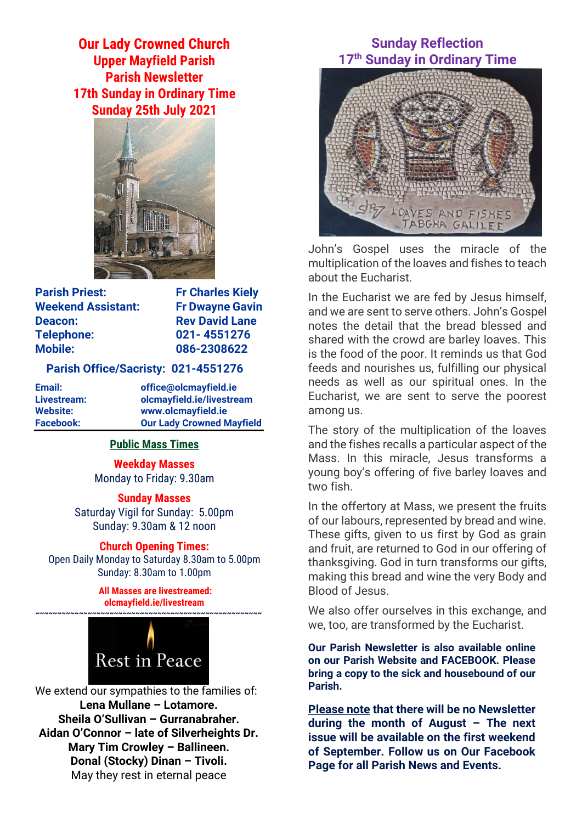**Our Lady Crowned Church Upper Mayfield Parish Parish Newsletter 17th Sunday in Ordinary Time Sunday 25th July 2021**



**Parish Priest:** Fr Charles Kiely **Weekend Assistant: Fr Dwayne Gavin Deacon:** Rev David Lane **Telephone: 021- 4551276 Mobile: 086-2308622** 

#### **Parish Office/Sacristy: 021-4551276**

**Email: office@olcmayfield.ie Livestream: olcmayfield.ie/livestream Website: www.olcmayfield.ie Facebook: Our Lady Crowned Mayfield**

## **Public Mass Times**

**Weekday Masses** Monday to Friday: 9.30am

**Sunday Masses**

Saturday Vigil for Sunday: 5.00pm Sunday: 9.30am & 12 noon

## **Church Opening Times:**

Open Daily Monday to Saturday 8.30am to 5.00pm Sunday: 8.30am to 1.00pm

> **All Masses are livestreamed: olcmayfield.ie/livestream**



We extend our sympathies to the families of: **Lena Mullane – Lotamore. Sheila O'Sullivan – Gurranabraher. Aidan O'Connor – late of Silverheights Dr. Mary Tim Crowley – Ballineen. Donal (Stocky) Dinan – Tivoli.** May they rest in eternal peace

# **Sunday Reflection 17th Sunday in Ordinary Time**



John's Gospel uses the miracle of the multiplication of the loaves and fishes to teach about the Eucharist.

In the Eucharist we are fed by Jesus himself, and we are sent to serve others. John's Gospel notes the detail that the bread blessed and shared with the crowd are barley loaves. This is the food of the poor. It reminds us that God feeds and nourishes us, fulfilling our physical needs as well as our spiritual ones. In the Eucharist, we are sent to serve the poorest among us.

The story of the multiplication of the loaves and the fishes recalls a particular aspect of the Mass. In this miracle, Jesus transforms a young boy's offering of five barley loaves and two fish.

In the offertory at Mass, we present the fruits of our labours, represented by bread and wine. These gifts, given to us first by God as grain and fruit, are returned to God in our offering of thanksgiving. God in turn transforms our gifts, making this bread and wine the very Body and Blood of Jesus.

We also offer ourselves in this exchange, and we, too, are transformed by the Eucharist.

**Our Parish Newsletter is also available online on our Parish Website and FACEBOOK. Please bring a copy to the sick and housebound of our Parish.**

**Please note that there will be no Newsletter during the month of August – The next issue will be available on the first weekend of September. Follow us on Our Facebook Page for all Parish News and Events.**